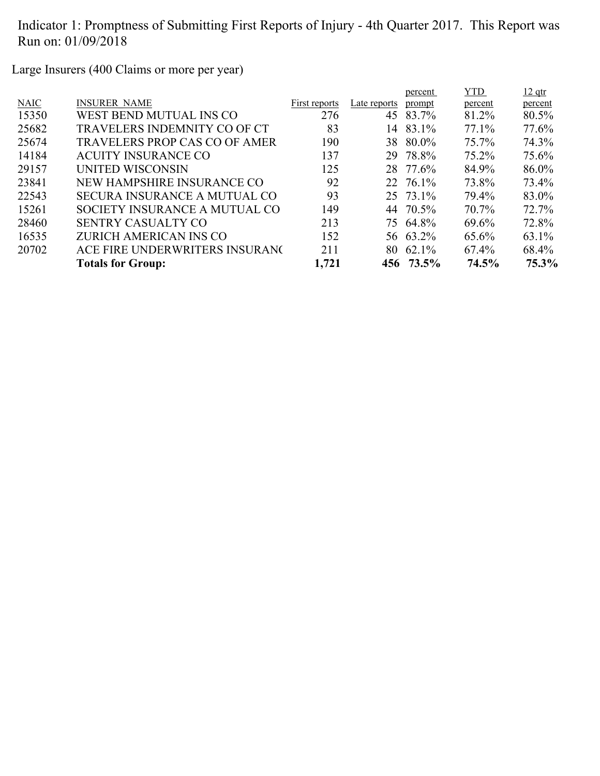Large Insurers (400 Claims or more per year)

|                                      |               |              | percent | YTD.                                                                                                                        | $12$ qtr |
|--------------------------------------|---------------|--------------|---------|-----------------------------------------------------------------------------------------------------------------------------|----------|
| <b>INSURER NAME</b>                  | First reports | Late reports | prompt  | percent                                                                                                                     | percent  |
| WEST BEND MUTUAL INS CO              | 276           | 45           |         | 81.2%                                                                                                                       | 80.5%    |
| <b>TRAVELERS INDEMNITY CO OF CT</b>  | 83            | 14           | 83.1%   | 77.1%                                                                                                                       | 77.6%    |
| <b>TRAVELERS PROP CAS CO OF AMER</b> | 190           |              |         | 75.7%                                                                                                                       | 74.3%    |
| <b>ACUITY INSURANCE CO</b>           | 137           |              |         | $75.2\%$                                                                                                                    | 75.6%    |
| UNITED WISCONSIN                     | 125           |              |         | 84.9%                                                                                                                       | 86.0%    |
| NEW HAMPSHIRE INSURANCE CO           | 92            |              |         | 73.8%                                                                                                                       | 73.4%    |
| SECURA INSURANCE A MUTUAL CO         | 93            |              |         | 79.4%                                                                                                                       | 83.0%    |
| SOCIETY INSURANCE A MUTUAL CO        | 149           |              |         | 70.7%                                                                                                                       | 72.7%    |
| <b>SENTRY CASUALTY CO</b>            | 213           |              |         | 69.6%                                                                                                                       | 72.8%    |
| ZURICH AMERICAN INS CO               | 152           |              |         | 65.6%                                                                                                                       | 63.1%    |
| ACE FIRE UNDERWRITERS INSURANC       | 211           | 80           |         | $67.4\%$                                                                                                                    | 68.4%    |
| <b>Totals for Group:</b>             | 1,721         |              |         | 74.5%                                                                                                                       | 75.3%    |
|                                      |               |              |         | 83.7%<br>38 80.0%<br>29 78.8%<br>28 77.6%<br>22 76.1%<br>25 73.1%<br>44 70.5%<br>75 64.8%<br>56 63.2%<br>62.1%<br>456 73.5% |          |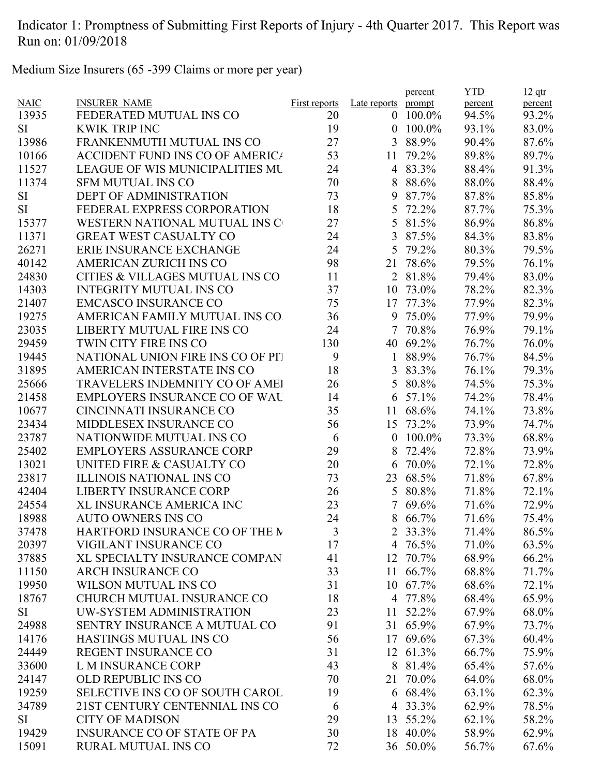Medium Size Insurers (65 -399 Claims or more per year)

|             |                                        |                      |                  | percent  | <b>YTD</b> | $12$ qtr |
|-------------|----------------------------------------|----------------------|------------------|----------|------------|----------|
| <b>NAIC</b> | <b>INSURER NAME</b>                    | <b>First reports</b> | Late reports     | prompt   | percent    | percent  |
| 13935       | FEDERATED MUTUAL INS CO                | 20                   | $\theta$         | 100.0%   | 94.5%      | 93.2%    |
| <b>SI</b>   | <b>KWIK TRIP INC</b>                   | 19                   | $\boldsymbol{0}$ | 100.0%   | 93.1%      | 83.0%    |
| 13986       | FRANKENMUTH MUTUAL INS CO              | 27                   | 3                | 88.9%    | 90.4%      | 87.6%    |
| 10166       | <b>ACCIDENT FUND INS CO OF AMERICA</b> | 53                   | 11               | 79.2%    | 89.8%      | 89.7%    |
| 11527       | <b>LEAGUE OF WIS MUNICIPALITIES MU</b> | 24                   |                  | 4 83.3%  | 88.4%      | 91.3%    |
| 11374       | <b>SFM MUTUAL INS CO</b>               | 70                   | 8                | 88.6%    | 88.0%      | 88.4%    |
| SI          | <b>DEPT OF ADMINISTRATION</b>          | 73                   | 9                | 87.7%    | 87.8%      | 85.8%    |
| <b>SI</b>   | FEDERAL EXPRESS CORPORATION            | 18                   | 5                | 72.2%    | 87.7%      | 75.3%    |
| 15377       | WESTERN NATIONAL MUTUAL INS C          | 27                   | 5                | 81.5%    | 86.9%      | 86.8%    |
| 11371       | <b>GREAT WEST CASUALTY CO</b>          | 24                   | 3                | 87.5%    | 84.3%      | 83.8%    |
| 26271       | ERIE INSURANCE EXCHANGE                | 24                   | 5                | 79.2%    | 80.3%      | 79.5%    |
| 40142       | <b>AMERICAN ZURICH INS CO</b>          | 98                   | 21               | 78.6%    | 79.5%      | 76.1%    |
| 24830       | CITIES & VILLAGES MUTUAL INS CO        | 11                   | $\overline{2}$   | 81.8%    | 79.4%      | 83.0%    |
| 14303       | <b>INTEGRITY MUTUAL INS CO</b>         | 37                   | 10               | 73.0%    | 78.2%      | 82.3%    |
| 21407       | <b>EMCASCO INSURANCE CO</b>            | 75                   | 17               | 77.3%    | 77.9%      | 82.3%    |
| 19275       | AMERICAN FAMILY MUTUAL INS CO.         | 36                   | 9                | 75.0%    | 77.9%      | 79.9%    |
| 23035       | LIBERTY MUTUAL FIRE INS CO             | 24                   | 7                | 70.8%    | 76.9%      | 79.1%    |
| 29459       | TWIN CITY FIRE INS CO                  | 130                  | 40               | 69.2%    | 76.7%      | 76.0%    |
| 19445       | NATIONAL UNION FIRE INS CO OF PIT      | 9                    | $\mathbf{1}$     | 88.9%    | 76.7%      | 84.5%    |
| 31895       | AMERICAN INTERSTATE INS CO             | 18                   | 3                | 83.3%    | 76.1%      | 79.3%    |
| 25666       | <b>TRAVELERS INDEMNITY CO OF AMEI</b>  | 26                   | 5                | 80.8%    | 74.5%      | 75.3%    |
| 21458       | <b>EMPLOYERS INSURANCE CO OF WAL</b>   | 14                   | 6                | 57.1%    | 74.2%      | 78.4%    |
| 10677       | CINCINNATI INSURANCE CO                | 35                   | 11               | 68.6%    | 74.1%      | 73.8%    |
| 23434       | MIDDLESEX INSURANCE CO                 | 56                   | 15               | 73.2%    | 73.9%      | 74.7%    |
| 23787       | NATIONWIDE MUTUAL INS CO               | 6                    | $\boldsymbol{0}$ | 100.0%   | 73.3%      | 68.8%    |
| 25402       | <b>EMPLOYERS ASSURANCE CORP</b>        | 29                   | 8                | 72.4%    | 72.8%      | 73.9%    |
| 13021       | UNITED FIRE & CASUALTY CO              | 20                   | 6                | 70.0%    | 72.1%      | 72.8%    |
| 23817       | <b>ILLINOIS NATIONAL INS CO</b>        | 73                   | 23               | 68.5%    | 71.8%      | 67.8%    |
| 42404       | <b>LIBERTY INSURANCE CORP</b>          | 26                   | 5                | 80.8%    | 71.8%      | 72.1%    |
| 24554       | <b>XL INSURANCE AMERICA INC</b>        | 23                   | 7                | 69.6%    | 71.6%      | 72.9%    |
| 18988       | <b>AUTO OWNERS INS CO</b>              | 24                   | 8                | 66.7%    | 71.6%      | 75.4%    |
| 37478       | HARTFORD INSURANCE CO OF THE M         | 3                    |                  | 2 33.3%  | 71.4%      | 86.5%    |
| 20397       | VIGILANT INSURANCE CO                  | 17                   |                  | 4 76.5%  | 71.0%      | 63.5%    |
| 37885       | XL SPECIALTY INSURANCE COMPAN          | 41                   | 12               | 70.7%    | 68.9%      | 66.2%    |
| 11150       | <b>ARCH INSURANCE CO</b>               | 33                   |                  | 11 66.7% | 68.8%      | 71.7%    |
| 19950       | WILSON MUTUAL INS CO                   | 31                   |                  | 10 67.7% | 68.6%      | 72.1%    |
| 18767       | CHURCH MUTUAL INSURANCE CO             | 18                   |                  | 4 77.8%  | 68.4%      | 65.9%    |
| SI          | UW-SYSTEM ADMINISTRATION               | 23                   | 11               | 52.2%    | 67.9%      | 68.0%    |
| 24988       | SENTRY INSURANCE A MUTUAL CO           | 91                   |                  | 31 65.9% | 67.9%      | 73.7%    |
| 14176       | <b>HASTINGS MUTUAL INS CO</b>          | 56                   |                  | 17 69.6% | 67.3%      | 60.4%    |
| 24449       | REGENT INSURANCE CO                    | 31                   |                  | 12 61.3% | 66.7%      | 75.9%    |
| 33600       | L M INSURANCE CORP                     | 43                   |                  | 8 81.4%  | 65.4%      | 57.6%    |
| 24147       | <b>OLD REPUBLIC INS CO</b>             | 70                   | 21               | 70.0%    | 64.0%      |          |
|             |                                        |                      |                  |          |            | 68.0%    |
| 19259       | SELECTIVE INS CO OF SOUTH CAROL        | 19                   |                  | 6 68.4%  | 63.1%      | 62.3%    |
| 34789       | 21ST CENTURY CENTENNIAL INS CO         | 6                    |                  | 4 33.3%  | 62.9%      | 78.5%    |
| <b>SI</b>   | <b>CITY OF MADISON</b>                 | 29                   |                  | 13 55.2% | 62.1%      | 58.2%    |
| 19429       | <b>INSURANCE CO OF STATE OF PA</b>     | 30                   |                  | 18 40.0% | 58.9%      | 62.9%    |
| 15091       | RURAL MUTUAL INS CO                    | 72                   |                  | 36 50.0% | 56.7%      | 67.6%    |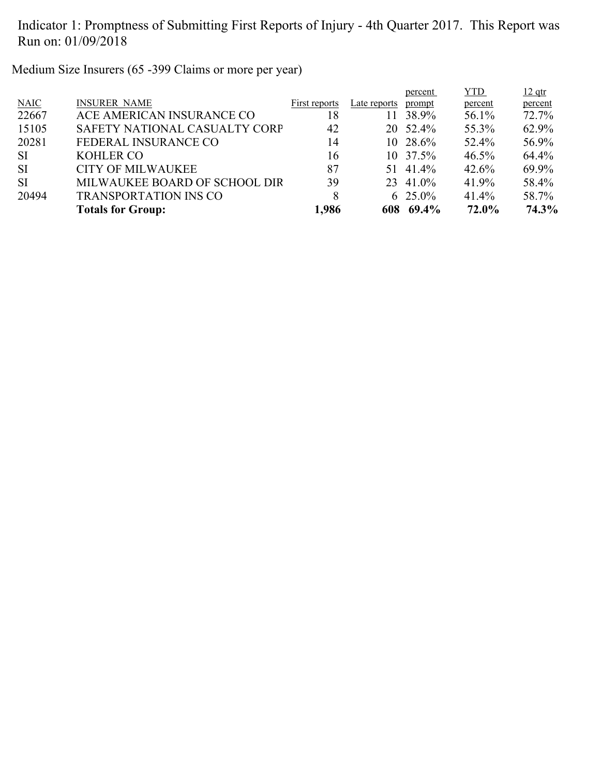Medium Size Insurers (65 -399 Claims or more per year)

|             |                               |               |              | percent    | <b>YTD</b> | $12$ qtr |
|-------------|-------------------------------|---------------|--------------|------------|------------|----------|
| <b>NAIC</b> | <b>INSURER NAME</b>           | First reports | Late reports | prompt     | percent    | percent  |
| 22667       | ACE AMERICAN INSURANCE CO     | 18            | 11           | 38.9%      | 56.1%      | 72.7%    |
| 15105       | SAFETY NATIONAL CASUALTY CORP | 42            |              | 20 52.4%   | 55.3%      | 62.9%    |
| 20281       | FEDERAL INSURANCE CO          | 14            |              | 10 28.6%   | 52.4%      | 56.9%    |
| <b>SI</b>   | <b>KOHLER CO</b>              | 16            |              | 10 37.5%   | $46.5\%$   | 64.4%    |
| <b>SI</b>   | <b>CITY OF MILWAUKEE</b>      | 87            |              | 51 41.4%   | 42.6%      | 69.9%    |
| <b>SI</b>   | MILWAUKEE BOARD OF SCHOOL DIR | 39            |              | 23 41.0%   | 41.9%      | 58.4%    |
| 20494       | <b>TRANSPORTATION INS CO</b>  | 8             |              | 6 $25.0\%$ | 41.4%      | 58.7%    |
|             | <b>Totals for Group:</b>      | 1,986         |              | 608 69.4%  | 72.0%      | 74.3%    |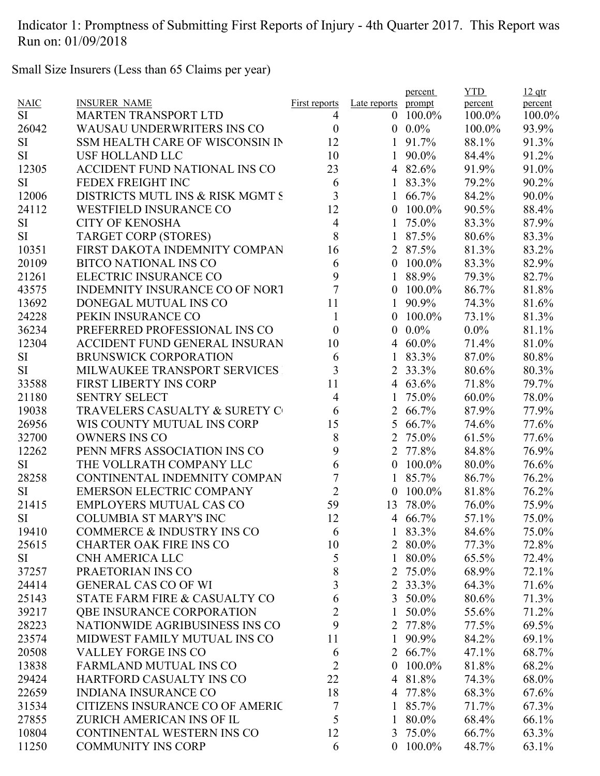Small Size Insurers (Less than 65 Claims per year)

|             |                                       |                      |                  | percent    | <b>YTD</b>     | $12$ qtr       |
|-------------|---------------------------------------|----------------------|------------------|------------|----------------|----------------|
| <b>NAIC</b> | <b>INSURER NAME</b>                   | <b>First reports</b> | Late reports     | prompt     | percent        | percent        |
| <b>SI</b>   | <b>MARTEN TRANSPORT LTD</b>           | 4                    | $\overline{0}$   | $100.0\%$  | 100.0%         | 100.0%         |
| 26042       | <b>WAUSAU UNDERWRITERS INS CO</b>     | $\boldsymbol{0}$     | $\overline{0}$   | $0.0\%$    | 100.0%         | 93.9%          |
| <b>SI</b>   | SSM HEALTH CARE OF WISCONSIN IN       | 12                   |                  | 91.7%      | 88.1%          | 91.3%          |
| <b>SI</b>   | USF HOLLAND LLC                       | 10                   | $\mathbf{1}$     | 90.0%      | 84.4%          | 91.2%          |
| 12305       | ACCIDENT FUND NATIONAL INS CO         | 23                   |                  | 4 82.6%    | 91.9%          | 91.0%          |
| <b>SI</b>   | FEDEX FREIGHT INC                     | 6                    |                  | 83.3%      | 79.2%          | 90.2%          |
| 12006       | DISTRICTS MUTL INS & RISK MGMT S      | 3                    |                  | 66.7%      | 84.2%          | 90.0%          |
| 24112       | <b>WESTFIELD INSURANCE CO</b>         | 12                   | $\overline{0}$   | 100.0%     | 90.5%          | 88.4%          |
| <b>SI</b>   | <b>CITY OF KENOSHA</b>                | $\overline{4}$       | 1                | 75.0%      | 83.3%          | 87.9%          |
| <b>SI</b>   | <b>TARGET CORP (STORES)</b>           | 8                    | $\mathbf{1}$     | 87.5%      | 80.6%          | 83.3%          |
| 10351       | FIRST DAKOTA INDEMNITY COMPAN         | 16                   |                  | 2 87.5%    | 81.3%          | 83.2%          |
| 20109       | <b>BITCO NATIONAL INS CO</b>          | 6                    |                  | $0$ 100.0% | 83.3%          | 82.9%          |
| 21261       | ELECTRIC INSURANCE CO                 | 9                    |                  | 88.9%      | 79.3%          | 82.7%          |
| 43575       | <b>INDEMNITY INSURANCE CO OF NORT</b> | $\overline{7}$       | $\boldsymbol{0}$ | 100.0%     | 86.7%          | 81.8%          |
| 13692       | DONEGAL MUTUAL INS CO                 | 11                   | $\mathbf{1}$     | 90.9%      | 74.3%          | 81.6%          |
| 24228       | PEKIN INSURANCE CO                    | $\mathbf{1}$         | $\overline{0}$   | $100.0\%$  | 73.1%          | 81.3%          |
| 36234       | PREFERRED PROFESSIONAL INS CO         | $\boldsymbol{0}$     | $\overline{0}$   | $0.0\%$    | $0.0\%$        | 81.1%          |
| 12304       | ACCIDENT FUND GENERAL INSURAN         | 10                   |                  | 4 $60.0\%$ | 71.4%          | 81.0%          |
| SI          | <b>BRUNSWICK CORPORATION</b>          | 6                    | $\mathbf{1}$     | 83.3%      | 87.0%          | 80.8%          |
| <b>SI</b>   | MILWAUKEE TRANSPORT SERVICES          | 3                    | $\overline{2}$   | 33.3%      | 80.6%          | 80.3%          |
| 33588       | <b>FIRST LIBERTY INS CORP</b>         | 11                   |                  | 4 $63.6\%$ | 71.8%          | 79.7%          |
| 21180       | <b>SENTRY SELECT</b>                  | $\overline{4}$       | $\mathbf{1}$     | 75.0%      | $60.0\%$       | 78.0%          |
| 19038       | TRAVELERS CASUALTY & SURETY C         | 6                    | $\overline{2}$   | 66.7%      | 87.9%          | 77.9%          |
| 26956       | WIS COUNTY MUTUAL INS CORP            | 15                   | 5 <sup>5</sup>   | 66.7%      | 74.6%          | 77.6%          |
| 32700       | <b>OWNERS INS CO</b>                  | 8                    |                  | 2 75.0%    | 61.5%          | 77.6%          |
| 12262       | PENN MFRS ASSOCIATION INS CO          | 9                    |                  | 2 77.8%    | 84.8%          | 76.9%          |
| <b>SI</b>   | THE VOLLRATH COMPANY LLC              | 6                    | $\overline{0}$   | 100.0%     | 80.0%          | 76.6%          |
| 28258       | CONTINENTAL INDEMNITY COMPAN          | $\overline{7}$       |                  | 85.7%      | 86.7%          | 76.2%          |
| <b>SI</b>   | <b>EMERSON ELECTRIC COMPANY</b>       | $\overline{2}$       | $\boldsymbol{0}$ | 100.0%     | 81.8%          | 76.2%          |
| 21415       | <b>EMPLOYERS MUTUAL CAS CO</b>        | 59                   | 13               | 78.0%      | 76.0%          | 75.9%          |
| <b>SI</b>   | <b>COLUMBIA ST MARY'S INC</b>         | 12                   | $\overline{4}$   | 66.7%      | 57.1%          | 75.0%          |
| 19410       | COMMERCE & INDUSTRY INS CO            | $\mathfrak b$        |                  | 83.3%      | 84.6%          | 75.0%          |
| 25615       | <b>CHARTER OAK FIRE INS CO</b>        | 10                   |                  | 2 80.0%    | 77.3%          | 72.8%          |
| SI.         | <b>CNH AMERICA LLC</b>                | 5                    | $\mathbf{1}$     | 80.0%      | 65.5%          | 72.4%          |
| 37257       | PRAETORIAN INS CO                     | 8                    |                  | 2 75.0%    | 68.9%          | 72.1%          |
| 24414       | <b>GENERAL CAS CO OF WI</b>           | 3                    |                  | 2 33.3%    | 64.3%          | 71.6%          |
| 25143       | STATE FARM FIRE & CASUALTY CO         | 6                    | 3 <sup>1</sup>   | 50.0%      | 80.6%          | 71.3%          |
| 39217       | <b>QBE INSURANCE CORPORATION</b>      | $\overline{c}$       |                  | 50.0%      | 55.6%          | 71.2%          |
| 28223       | NATIONWIDE AGRIBUSINESS INS CO        | 9                    |                  | 2 77.8%    | 77.5%          | 69.5%          |
| 23574       | MIDWEST FAMILY MUTUAL INS CO          | 11                   | $\mathbf{1}$     | 90.9%      | 84.2%          | 69.1%          |
| 20508       | <b>VALLEY FORGE INS CO</b>            | 6                    |                  | 2 66.7%    | 47.1%          | 68.7%          |
| 13838       | <b>FARMLAND MUTUAL INS CO</b>         | 2                    | $\overline{0}$   | 100.0%     | 81.8%          | 68.2%          |
| 29424       | HARTFORD CASUALTY INS CO              | 22                   | $\overline{4}$   | 81.8%      | 74.3%          | 68.0%          |
| 22659       | <b>INDIANA INSURANCE CO</b>           | 18                   |                  | 4 77.8%    |                |                |
| 31534       | CITIZENS INSURANCE CO OF AMERIC       | 7                    |                  | 85.7%      | 68.3%<br>71.7% | 67.6%<br>67.3% |
|             |                                       | 5                    |                  |            |                |                |
| 27855       | ZURICH AMERICAN INS OF IL             |                      | $\mathbf{1}$     | 80.0%      | 68.4%          | 66.1%          |
| 10804       | CONTINENTAL WESTERN INS CO            | 12                   |                  | 3 75.0%    | 66.7%          | 63.3%          |
| 11250       | <b>COMMUNITY INS CORP</b>             | 6                    |                  | $0$ 100.0% | 48.7%          | 63.1%          |